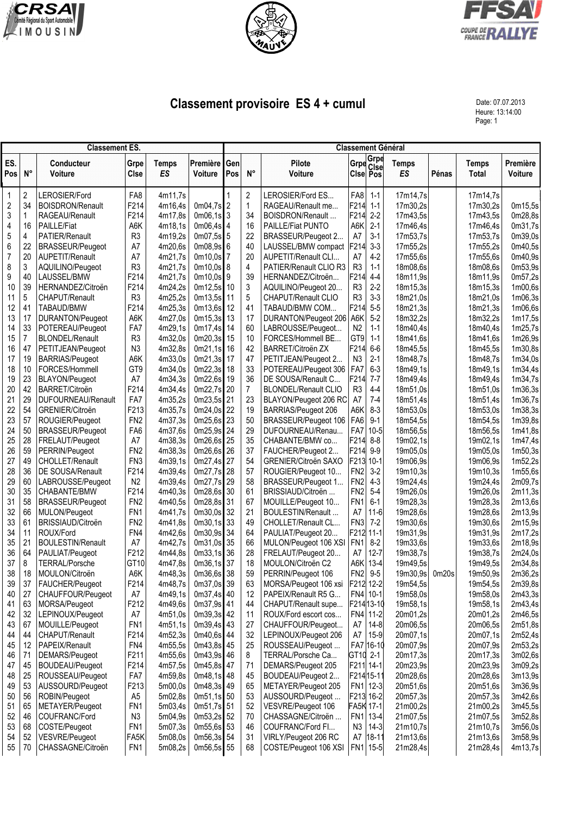





## **Classement provisoire ES 4 + cumul** Date: 07.07.2013

Heure: 13:14:00 Page: 1

|             | <b>Classement ES.</b> |                                            |                        |                           |                            |            | <b>Classement Général</b> |                                         |                                    |                |                           |       |                       |                     |  |  |
|-------------|-----------------------|--------------------------------------------|------------------------|---------------------------|----------------------------|------------|---------------------------|-----------------------------------------|------------------------------------|----------------|---------------------------|-------|-----------------------|---------------------|--|--|
| ES.<br>Pos  | $N^{\circ}$           | Conducteur<br>Voiture                      | Grpe<br><b>CIse</b>    | <b>Temps</b><br><b>ES</b> | Première<br><b>Voiture</b> | Gen<br>Pos | $N^{\circ}$               | Pilote<br>Voiture                       | Cise Pos                           | Grpe Grpe      | <b>Temps</b><br><b>ES</b> | Pénas | <b>Temps</b><br>Total | Première<br>Voiture |  |  |
| $\mathbf 1$ | 2                     | LEROSIER/Ford                              | FA8                    | 4m11,7s                   |                            |            | 2                         | LEROSIER/Ford ES                        | FA8                                | $1 - 1$        | 17m14,7s                  |       | 17m14,7s              |                     |  |  |
| $\sqrt{2}$  | 34                    | <b>BOISDRON/Renault</b>                    | F214                   | 4m16,4s                   | $0m04.7s$ 2                |            | $\mathbf{1}$              | RAGEAU/Renault me                       | F214                               | $1 - 1$        | 17m30,2s                  |       | 17m30,2s              | 0m15,5s             |  |  |
| 3           | 1                     | RAGEAU/Renault                             | F214                   | 4m17,8s                   | $0m06,1s$ 3                |            | 34                        | BOISDRON/Renault                        | F214                               | $2-2$          | 17m43,5s                  |       | 17m43,5s              | 0m28,8s             |  |  |
| 4           | 16                    | <b>PAILLE/Fiat</b>                         | A6K                    | 4m18,1s                   | $0m06,4s$ 4                |            | 16                        | PAILLE/Fiat PUNTO                       | A6K                                | $2 - 1$        | 17m46,4s                  |       | 17m46,4s              | 0m31,7s             |  |  |
| 5           | 4                     | <b>PATIER/Renault</b>                      | R <sub>3</sub>         | 4m19,2s                   | $0m07,5s$ 5                |            | 22                        | BRASSEUR/Peugeot 2                      | A7                                 | $3 - 1$        | 17m53,7s                  |       | 17m53,7s              | 0m39,0s             |  |  |
| 6           | 22                    | <b>BRASSEUR/Peugeot</b>                    | A7                     | 4m20,6s                   | $0m08,9s$ 6                |            | 40                        | LAUSSEL/BMW compact                     | F214                               | $3-3$          | 17m55,2s                  |       | 17m55,2s              | 0m40,5s             |  |  |
| 7           | 20                    | AUPETIT/Renault                            | A7                     | 4m21,7s                   | 0m10,0s 7                  |            | 20                        | AUPETIT/Renault CLI                     | A7                                 | $4-2$          | 17m55,6s                  |       | 17m55.6s              | 0m40,9s             |  |  |
| 8           | 3                     | AQUILINO/Peugeot                           | R <sub>3</sub>         | 4m21,7s                   | $0m10,0s$ 8                |            | 4                         | PATIER/Renault CLIO R3                  | R <sub>3</sub>                     | $1 - 1$        | 18m08,6s                  |       | 18m08.6s              | 0m53,9s             |  |  |
| 9           | 40                    | LAUSSEL/BMW                                | F214                   | 4m21,7s                   | $0m10,0s$ 9                |            | 39                        | HERNANDEZ/Citroën                       | F214                               | $4 - 4$        | 18m11,9s                  |       | 18m11,9s              | 0m57,2s             |  |  |
| 10          | 39                    | HERNANDEZ/Citroën                          | F214                   | 4m24,2s                   | $0m12,5s$ 10               |            | 3                         | AQUILINO/Peugeot 20                     | R <sub>3</sub>                     | $2-2$          | 18m15,3s                  |       | 18m15,3s              | 1m00,6s             |  |  |
| 11<br>12    | 5<br>41               | CHAPUT/Renault<br>TABAUD/BMW               | R <sub>3</sub><br>F214 | 4m25,2s<br>4m25,3s        | 0m13,5s 11<br>0m13,6s      | 12         | 5<br>41                   | CHAPUT/Renault CLIO<br>TABAUD/BMW COM   | R <sub>3</sub><br>F214             | $3-3$<br>$5-5$ | 18m21,0s<br>18m21,3s      |       | 18m21,0s<br>18m21,3s  | 1m06,3s<br>1m06,6s  |  |  |
| 13          | 17                    | DURANTON/Peugeot                           | A6K                    | 4m27,0s                   | 0m15,3s                    | 13         | 17                        | DURANTON/Peugeot 206                    | A6K                                | $5-2$          | 18m32,2s                  |       | 18m32,2s              | 1m17,5s             |  |  |
| 14          | 33                    | POTEREAU/Peugeot                           | FA7                    | 4m29,1s                   | 0m17,4s                    | 14         | 60                        | LABROUSSE/Peugeot                       | N <sub>2</sub>                     | $1 - 1$        | 18m40,4s                  |       | 18m40,4s              | 1m25,7s             |  |  |
| 15          | $\overline{7}$        | <b>BLONDEL/Renault</b>                     | R <sub>3</sub>         | 4m32,0s                   | 0m20,3s 15                 |            | 10                        | FORCES/Hommell BE                       | GT9                                | $1 - 1$        | 18m41,6s                  |       | 18m41,6s              | 1m26,9s             |  |  |
| 16          | 47                    | PETITJEAN/Peugeot                          | N <sub>3</sub>         | 4m32,8s                   | $0m21,1s$ 16               |            | 42                        | BARRET/Citroën ZX                       | F214                               | $6-6$          | 18m45,5s                  |       | 18m45,5s              | 1m30,8s             |  |  |
| 17          | 19                    | <b>BARRIAS/Peugeot</b>                     | A6K                    | 4m33,0s                   | 0m21,3s 17                 |            | 47                        | PETITJEAN/Peugeot 2                     | N <sub>3</sub>                     | $2 - 1$        | 18m48,7s                  |       | 18m48.7s              | 1m34,0s             |  |  |
| 18          | 10                    | FORCES/Hommell                             | GT9                    | 4m34,0s                   | 0m22,3s 18                 |            | 33                        | POTEREAU/Peugeot 306                    | FA7                                | $6-3$          | 18m49,1s                  |       | 18m49,1s              | 1m34,4s             |  |  |
| 19          | 23                    | BLAYON/Peugeot                             | A7                     | 4m34,3s                   | 0m22,6s 19                 |            | 36                        | DE SOUSA/Renault C                      | F214                               | $7 - 7$        | 18m49,4s                  |       | 18m49,4s              | 1m34,7s             |  |  |
| 20          | 42                    | BARRET/Citroën                             | F214                   | 4m34,4s                   | 0m22,7s 20                 |            | $\overline{7}$            | <b>BLONDEL/Renault CLIO</b>             | R <sub>3</sub>                     | $4 - 4$        | 18m51,0s                  |       | 18m51,0s              | 1m36,3s             |  |  |
| 21          | 29                    | DUFOURNEAU/Renault                         | FA7                    | 4m35,2s                   | 0m23,5s 21                 |            | 23                        | BLAYON/Peugeot 206 RC                   | A7                                 | $7-4$          | 18m51,4s                  |       | 18m51,4s              | 1m36,7s             |  |  |
| 22          | 54                    | GRENIER/Citroën                            | F <sub>2</sub> 13      | 4m35,7s                   | 0m24,0s 22                 |            | 19                        | BARRIAS/Peugeot 206                     | A6K                                | $8-3$          | 18m53,0s                  |       | 18m53,0s              | 1m38,3s             |  |  |
| 23          | 57                    | ROUGIER/Peugeot                            | FN <sub>2</sub>        | 4m37,3s                   | $0m25,6s$ 23               |            | 50                        | BRASSEUR/Peugeot 106                    | FA <sub>6</sub>                    | $9 - 1$        | 18m54,5s                  |       | 18m54,5s              | 1m39,8s             |  |  |
| 24          | 50                    | <b>BRASSEUR/Peugeot</b>                    | FA <sub>6</sub>        | 4m37,6s                   | 0m25,9s 24                 |            | 29                        | DUFOURNEAU/Renau                        | FA7                                | $10 - 5$       | 18m56,5s                  |       | 18m56,5s              | 1m41,8s             |  |  |
| 25          | 28                    | FRELAUT/Peugeot                            | A7                     | 4m38,3s                   | 0m26,6s 25                 |            | 35                        | CHABANTE/BMW co                         | F214                               | $8 - 8$        | 19m02,1s                  |       | 19m02,1s              | 1m47,4s             |  |  |
| 26          | 59                    | PERRIN/Peugeot                             | FN <sub>2</sub>        | 4m38,3s                   | $0m26,6s$ 26               |            | 37                        | FAUCHER/Peugeot 2                       | F214                               | $9-9$          | 19m05,0s                  |       | 19m05,0s              | 1m50,3s             |  |  |
| 27          | 49                    | <b>CHOLLET/Renault</b>                     | FN <sub>3</sub>        | 4m39,1s                   | 0m27,4s 27                 |            | 54                        | GRENIER/Citroën SAXO                    | F213 10-1                          |                | 19m06,9s                  |       | 19m06,9s              | 1m52,2s             |  |  |
| 28          | 36                    | DE SOUSA/Renault                           | F214                   | 4m39,4s                   | 0m27,7s 28                 |            | 57                        | ROUGIER/Peugeot 10                      | FN <sub>2</sub>                    | $3-2$          | 19m10,3s                  |       | 19m10,3s              | 1m55,6s             |  |  |
| 29<br>30    | 60<br>35              | LABROUSSE/Peugeot<br>CHABANTE/BMW          | N <sub>2</sub><br>F214 | 4m39,4s<br>4m40,3s        | 0m27,7s 29<br>0m28,6s 30   |            | 58<br>61                  | BRASSEUR/Peugeot 1<br>BRISSIAUD/Citroën | FN <sub>2</sub><br>FN <sub>2</sub> | $4-3$<br>$5-4$ | 19m24,4s<br>19m26,0s      |       | 19m24,4s              | 2m09,7s<br>2m11,3s  |  |  |
| 31          | 58                    | <b>BRASSEUR/Peugeot</b>                    | FN <sub>2</sub>        | 4m40,5s                   | 0m28,8s 31                 |            | 67                        | MOUILLE/Peugeot 10                      | FN <sub>1</sub>                    | $6 - 1$        | 19m28,3s                  |       | 19m26,0s<br>19m28,3s  | 2m13,6s             |  |  |
| 32          | 66                    | MULON/Peugeot                              | FN <sub>1</sub>        | 4m41,7s                   | $0m30,0s$ 32               |            | 21                        | BOULESTIN/Renault                       | A7                                 | $11-6$         | 19m28,6s                  |       | 19m28,6s              | 2m13,9s             |  |  |
| 33          | 61                    | BRISSIAUD/Citroën                          | FN <sub>2</sub>        | 4m41,8s                   | $0m30,1s$ 33               |            | 49                        | CHOLLET/Renault CL                      | FN <sub>3</sub>                    | $7-2$          | 19m30,6s                  |       | 19m30.6s              | 2m15,9s             |  |  |
| 34          | 11                    | ROUX/Ford                                  | FN4                    | 4m42,6s                   | 0m30,9s 34                 |            | 64                        | PAULIAT/Peugeot 20                      | F212 11-1                          |                | 19m31,9s                  |       | 19m31,9s              | 2m17,2s             |  |  |
| 35          | 21                    | <b>BOULESTIN/Renault</b>                   | A7                     | 4m42,7s                   | 0m31,0s 35                 |            | 66                        | MULON/Peugeot 106 XSI                   | FN <sub>1</sub>                    | $8 - 2$        | 19m33,6s                  |       | 19m33,6s              | 2m18,9s             |  |  |
| 36          | 64                    | PAULIAT/Peugeot                            | F212                   | 4m44,8s                   | $0m33,1s$ 36               |            | 28                        | FRELAUT/Peugeot 20                      | A7                                 | $12 - 7$       | 19m38,7s                  |       | 19m38,7s              | 2m24,0s             |  |  |
| 37          | 8                     | <b>TERRAL/Porsche</b>                      | GT10                   | 4m47,8s                   | 0m36,1s 37                 |            | 18                        | MOULON/Citroën C2                       | A6K                                | $13 - 4$       | 19m49,5s                  |       | 19m49,5s              | 2m34,8s             |  |  |
| 38          | 18                    | MOULON/Citroën                             | A6K                    | 4m48,3s                   | 0m36,6s 38                 |            | 59                        | PERRIN/Peugeot 106                      | FN <sub>2</sub>                    | $9-5$          | 19m30,9s                  | 0m20s | 19m50,9s              | 2m36,2s             |  |  |
| 39          | 37                    | FAUCHER/Peugeot                            | F214                   | 4m48,7s                   | 0m37,0s 39                 |            | 63                        | MORSA/Peugeot 106 xsi                   | F212 12-2                          |                | 19m54,5s                  |       | 19m54,5s              | 2m39,8s             |  |  |
| 40          | 27                    | CHAUFFOUR/Peugeot                          | A7                     | 4m49,1s                   | $0m37,4s$ 40               |            | 12                        | PAPEIX/Renault R5 G                     |                                    | FN4 10-1       | 19m58,0s                  |       | 19m58,0s              | 2m43,3s             |  |  |
| 41          | 63                    | MORSA/Peugeot                              | F212                   | 4m49,6s                   | 0m37,9s 41                 |            | 44                        | CHAPUT/Renault supe                     |                                    | F21413-10      | 19m58,1s                  |       | 19m58,1s              | 2m43,4s             |  |  |
| 42          | 32                    | LEPINOUX/Peugeot                           | A7                     | 4m51,0s                   | $0m39,3s$ 42               |            | 11                        | ROUX/Ford escort cos                    |                                    | FN4 11-2       | 20m01,2s                  |       | 20m01,2s              | 2m46,5s             |  |  |
| 43          | 67                    | MOUILLE/Peugeot                            | FN <sub>1</sub>        | 4m51,1s                   | 0m39,4s 43                 |            | 27                        | CHAUFFOUR/Peugeot                       | A7                                 | $14 - 8$       | 20m06,5s                  |       | 20m06,5s              | 2m51,8s             |  |  |
| 44          | 44                    | CHAPUT/Renault                             | F214                   | 4m52,3s                   | 0m40,6s 44                 |            | 32                        | LEPINOUX/Peugeot 206                    | A7                                 | $15-9$         | 20m07,1s                  |       | 20m07,1s              | 2m52,4s             |  |  |
| 45          | 12                    | PAPEIX/Renault                             | FN4                    | 4m55,5s                   | 0m43,8s 45                 |            | 25                        | ROUSSEAU/Peugeot                        | FA7                                | $ 16 - 10$     | 20m07,9s                  |       | 20m07,9s              | 2m53,2s             |  |  |
| 46          | 71<br>45              | DEMARS/Peugeot                             | F <sub>211</sub>       | 4m55,6s                   | 0m43,9s 46                 |            | 8                         | TERRAL/Porsche Ca                       | GT10 2-1<br>F211 14-1              |                | 20m17,3s                  |       | 20m17,3s<br>20m23,9s  | 3m02,6s             |  |  |
| 47<br>48    | 25                    | <b>BOUDEAU/Peugeot</b><br>ROUSSEAU/Peugeot | F214<br>FA7            | 4m57,5s<br>4m59,8s        | 0m45,8s 47<br>$0m48,1s$ 48 |            | 71<br>45                  | DEMARS/Peugeot 205<br>BOUDEAU/Peugeot 2 | F21415-11                          |                | 20m23,9s<br>20m28,6s      |       | 20m28,6s              | 3m09,2s<br>3m13,9s  |  |  |
| 49          | 53                    | AUSSOURD/Peugeot                           | F213                   | 5m00,0s                   | 0m48,3s 49                 |            | 65                        | METAYER/Peugeot 205                     | FN <sub>1</sub>                    | $12 - 3$       | 20m51,6s                  |       | 20m51,6s              | 3m36,9s             |  |  |
| 50          | 56                    | ROBIN/Peugeot                              | A <sub>5</sub>         | 5m02,8s                   | $0m51,1s$ 50               |            | 53                        | AUSSOURD/Peugeot                        | F213 16-2                          |                | 20m57,3s                  |       | 20m57,3s              | 3m42,6s             |  |  |
| 51          | 65                    | METAYER/Peugeot                            | FN <sub>1</sub>        | 5m03,4s                   | 0m51,7s 51                 |            | 52                        | VESVRE/Peugeot 106                      | FA5K 17-1                          |                | 21m00,2s                  |       | 21m00,2s              | 3m45,5s             |  |  |
| 52          | 46                    | COUFRANC/Ford                              | N <sub>3</sub>         | 5m04,9s                   | $0m53,2s$ 52               |            | 70                        | CHASSAGNE/Citroën                       | FN1                                | $13-4$         | 21m07,5s                  |       | 21m07,5s              | 3m52,8s             |  |  |
| 53          | 68                    | COSTE/Peugeot                              | FN <sub>1</sub>        | 5m07,3s                   | 0m55,6s 53                 |            | 46                        | COUFRANC/Ford Fl                        | N <sub>3</sub>                     | $14-3$         | 21m10,7s                  |       | 21m10,7s              | 3m56,0s             |  |  |
| 54          | 52                    | VESVRE/Peugeot                             | FA5K                   | 5m08,0s                   | $0m56,3s$ 54               |            | 31                        | VIRLY/Peugeot 206 RC                    | A7                                 | 18-11          | 21m13,6s                  |       | 21m13,6s              | 3m58,9s             |  |  |
| 55          | 70                    | CHASSAGNE/Citroën                          | FN <sub>1</sub>        | 5m08,2s                   | 0m56,5s 55                 |            | 68                        | COSTE/Peugeot 106 XSI                   | FN1                                | $15 - 5$       | 21m28,4s                  |       | 21m28,4s              | 4m13,7s             |  |  |